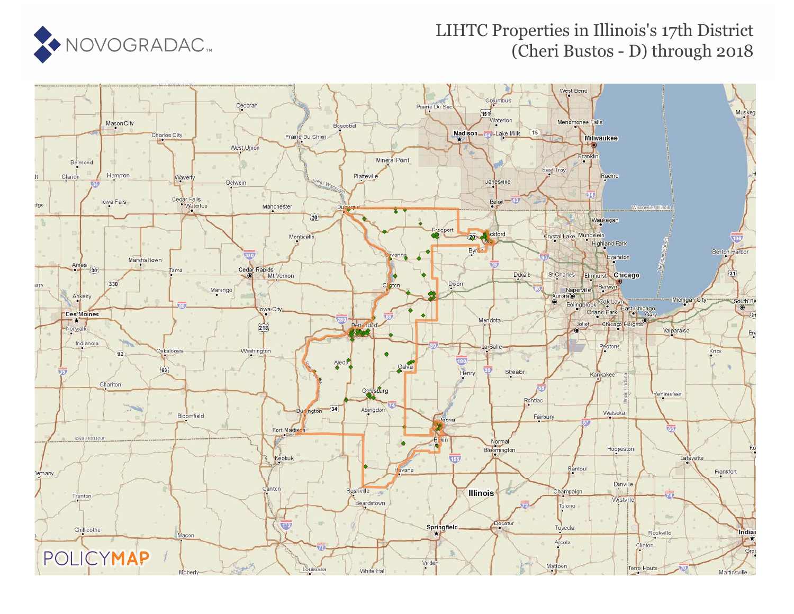

#### LIHTC Properties in Illinois's 17th District (Cheri Bustos - D) through 2018

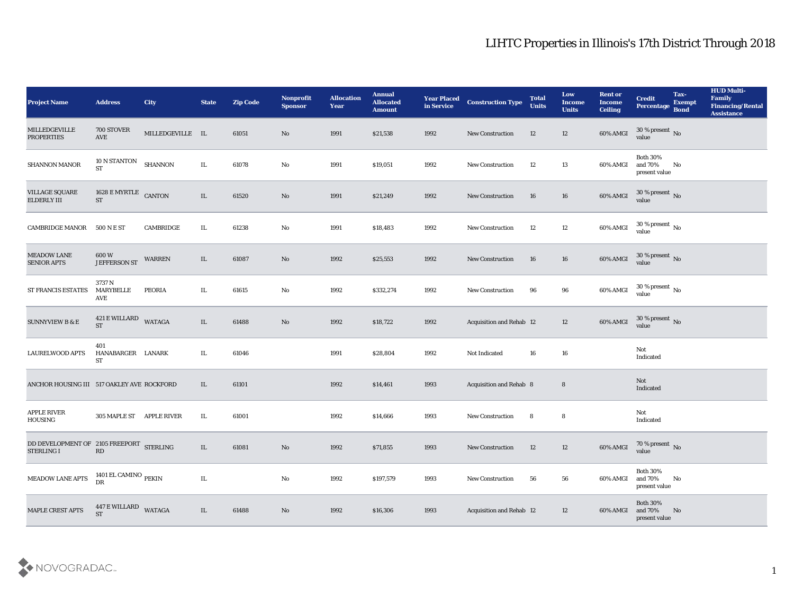| <b>Project Name</b>                                           | <b>Address</b>                      | City             | <b>State</b> | <b>Zip Code</b> | <b>Nonprofit</b><br><b>Sponsor</b> | <b>Allocation</b><br><b>Year</b> | <b>Annual</b><br><b>Allocated</b><br><b>Amount</b> | <b>Year Placed</b><br>in Service | <b>Construction Type</b>       | <b>Total</b><br><b>Units</b> | Low<br><b>Income</b><br><b>Units</b> | <b>Rent or</b><br><b>Income</b><br><b>Ceiling</b> | <b>Credit</b><br><b>Percentage</b>          | Tax-<br><b>Exempt</b><br><b>Bond</b> | <b>HUD Multi-</b><br>Family<br><b>Financing/Rental</b><br><b>Assistance</b> |
|---------------------------------------------------------------|-------------------------------------|------------------|--------------|-----------------|------------------------------------|----------------------------------|----------------------------------------------------|----------------------------------|--------------------------------|------------------------------|--------------------------------------|---------------------------------------------------|---------------------------------------------|--------------------------------------|-----------------------------------------------------------------------------|
| MILLEDGEVILLE<br><b>PROPERTIES</b>                            | 700 STOVER<br>AVE                   | MILLEDGEVILLE IL |              | 61051           | No                                 | 1991                             | \$21,538                                           | 1992                             | <b>New Construction</b>        | 12                           | 12                                   | 60% AMGI                                          | $30\,\%$ present $\,$ No value              |                                      |                                                                             |
| <b>SHANNON MANOR</b>                                          | <b>10 N STANTON</b><br><b>ST</b>    | <b>SHANNON</b>   | IL.          | 61078           | No                                 | 1991                             | \$19,051                                           | 1992                             | <b>New Construction</b>        | 12                           | 13                                   | 60% AMGI                                          | <b>Both 30%</b><br>and 70%<br>present value | No                                   |                                                                             |
| VILLAGE SQUARE<br>ELDERLY III                                 | 1628 E MYRTLE CANTON<br><b>ST</b>   |                  | IL           | 61520           | No                                 | 1991                             | \$21,249                                           | 1992                             | New Construction               | 16                           | 16                                   | 60% AMGI                                          | $30\,\%$ present $\,$ No value              |                                      |                                                                             |
| <b>CAMBRIDGE MANOR</b>                                        | 500 N E ST                          | CAMBRIDGE        | IL           | 61238           | No                                 | 1991                             | \$18,483                                           | 1992                             | <b>New Construction</b>        | 12                           | 12                                   | 60% AMGI                                          | $30\,\%$ present $\,$ No value              |                                      |                                                                             |
| <b>MEADOW LANE</b><br><b>SENIOR APTS</b>                      | 600W<br><b>JEFFERSON ST</b>         | <b>WARREN</b>    | IL           | 61087           | No                                 | 1992                             | \$25,553                                           | 1992                             | <b>New Construction</b>        | 16                           | 16                                   | 60% AMGI                                          | $30\,\%$ present $\,$ No value              |                                      |                                                                             |
| <b>ST FRANCIS ESTATES</b>                                     | 3737 N<br>MARYBELLE<br>AVE          | <b>PEORIA</b>    | IL           | 61615           | No                                 | 1992                             | \$332,274                                          | 1992                             | <b>New Construction</b>        | 96                           | 96                                   | 60% AMGI                                          | $30\,\%$ present $\,$ No value              |                                      |                                                                             |
| SUNNYVIEW B & E                                               | 421 E WILLARD WATAGA<br><b>ST</b>   |                  | IL           | 61488           | No                                 | 1992                             | \$18,722                                           | 1992                             | Acquisition and Rehab 12       |                              | 12                                   | 60% AMGI                                          | $30\,\%$ present $\,$ No value              |                                      |                                                                             |
| <b>LAURELWOOD APTS</b>                                        | 401<br>HANABARGER LANARK<br>ST      |                  | IL           | 61046           |                                    | 1991                             | \$28,804                                           | 1992                             | Not Indicated                  | 16                           | 16                                   |                                                   | Not<br>Indicated                            |                                      |                                                                             |
| ANCHOR HOUSING III 517 OAKLEY AVE ROCKFORD                    |                                     |                  | IL           | 61101           |                                    | 1992                             | \$14,461                                           | 1993                             | <b>Acquisition and Rehab 8</b> |                              | $8\phantom{1}$                       |                                                   | Not<br>Indicated                            |                                      |                                                                             |
| <b>APPLE RIVER</b><br><b>HOUSING</b>                          | 305 MAPLE ST APPLE RIVER            |                  | IL           | 61001           |                                    | 1992                             | \$14,666                                           | 1993                             | <b>New Construction</b>        | 8                            | 8                                    |                                                   | Not<br>Indicated                            |                                      |                                                                             |
| DD DEVELOPMENT OF 2105 FREEPORT STERLING<br><b>STERLING I</b> | RD                                  |                  | IL.          | 61081           | No                                 | 1992                             | \$71,855                                           | 1993                             | <b>New Construction</b>        | 12                           | 12                                   | 60% AMGI                                          | 70 % present No<br>value                    |                                      |                                                                             |
| MEADOW LANE APTS                                              | 1401 EL CAMINO $_{\rm PEKIN}$<br>DR |                  | $\rm IL$     |                 | $\mathbf {No}$                     | 1992                             | \$197,579                                          | 1993                             | New Construction               | 56                           | 56                                   | 60% AMGI                                          | Both $30\%$<br>and $70\%$<br>present value  | $\mathbf{N}\mathbf{o}$               |                                                                             |
| MAPLE CREST APTS                                              | 447 E WILLARD WATAGA<br><b>ST</b>   |                  | IL           | 61488           | $\rm\thinspace No$                 | 1992                             | \$16,306                                           | 1993                             | Acquisition and Rehab 12       |                              | 12                                   | 60% AMGI                                          | Both $30\%$<br>and 70%<br>present value     | No                                   |                                                                             |

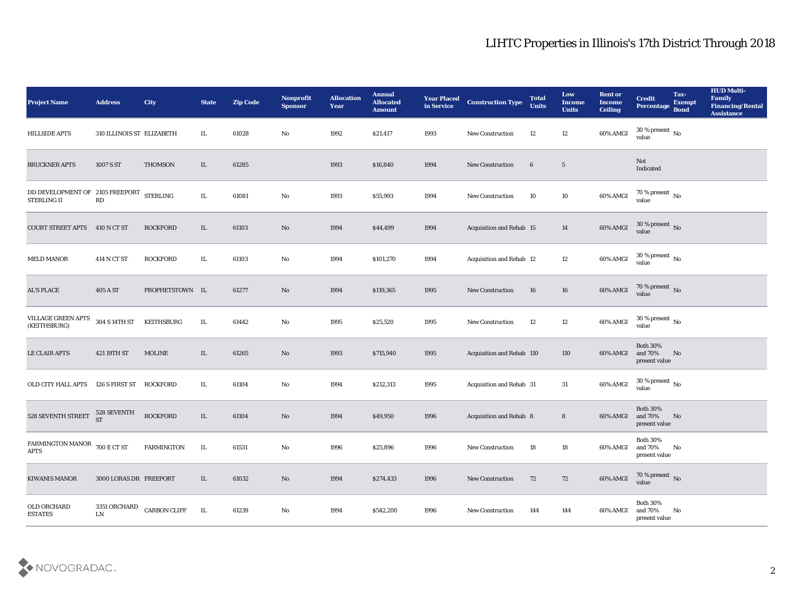| Project Name                                          | <b>Address</b>            | City                      | <b>State</b> | <b>Zip Code</b> | Nonprofit<br><b>Sponsor</b> | <b>Allocation</b><br><b>Year</b> | <b>Annual</b><br><b>Allocated</b><br><b>Amount</b> | <b>Year Placed</b><br>in Service | <b>Construction Type</b>        | <b>Total</b><br><b>Units</b> | Low<br><b>Income</b><br><b>Units</b> | <b>Rent or</b><br><b>Income</b><br><b>Ceiling</b> | <b>Credit</b><br><b>Percentage</b>          | Tax-<br><b>Exempt</b><br><b>Bond</b> | <b>HUD Multi-</b><br>Family<br><b>Financing/Rental</b><br><b>Assistance</b> |
|-------------------------------------------------------|---------------------------|---------------------------|--------------|-----------------|-----------------------------|----------------------------------|----------------------------------------------------|----------------------------------|---------------------------------|------------------------------|--------------------------------------|---------------------------------------------------|---------------------------------------------|--------------------------------------|-----------------------------------------------------------------------------|
| <b>HILLSIDE APTS</b>                                  | 310 ILLINOIS ST ELIZABETH |                           | IL           | 61028           | No                          | 1992                             | \$21,417                                           | 1993                             | <b>New Construction</b>         | 12                           | 12                                   | 60% AMGI                                          | $30$ % present $\,$ No $\,$<br>value        |                                      |                                                                             |
| <b>BRUCKNER APTS</b>                                  | 1007 S ST                 | <b>THOMSON</b>            | IL           | 61285           |                             | 1993                             | \$16,840                                           | 1994                             | New Construction                | $6\phantom{.}6$              | $\overline{5}$                       |                                                   | <b>Not</b><br>Indicated                     |                                      |                                                                             |
| DD DEVELOPMENT OF 2105 FREEPORT<br><b>STERLING II</b> | $\mathbf{R}\mathbf{D}$    | <b>STERLING</b>           | IL           | 61081           | No                          | 1993                             | \$55,993                                           | 1994                             | New Construction                | 10                           | 10                                   | 60% AMGI                                          | $70\,\%$ present $\,$ No value              |                                      |                                                                             |
| <b>COURT STREET APTS</b>                              | 410 N CT ST               | <b>ROCKFORD</b>           | IL           | 61103           | No                          | 1994                             | \$44,499                                           | 1994                             | Acquisition and Rehab 15        |                              | 14                                   | 60% AMGI                                          | $30\,\%$ present $\,$ No value              |                                      |                                                                             |
| <b>MELD MANOR</b>                                     | 414 N CT ST               | <b>ROCKFORD</b>           | IL           | 61103           | No                          | 1994                             | \$101,270                                          | 1994                             | <b>Acquisition and Rehab 12</b> |                              | 12                                   | 60% AMGI                                          | $30\,\%$ present $\,$ No value              |                                      |                                                                             |
| <b>AL'S PLACE</b>                                     | 405 A ST                  | PROPHETSTOWN IL           |              | 61277           | No                          | 1994                             | \$119,365                                          | 1995                             | <b>New Construction</b>         | 16                           | 16                                   | 60% AMGI                                          | $70\,\%$ present $\,$ No value              |                                      |                                                                             |
| VILLAGE GREEN APTS<br>(KEITHSBURG)                    | 304 S 14TH ST KEITHSBURG  |                           | IL           | 61442           | No                          | 1995                             | \$25,520                                           | 1995                             | <b>New Construction</b>         | 12                           | 12                                   | 60% AMGI                                          | $30\,\%$ present $\,$ No value              |                                      |                                                                             |
| <b>LE CLAIR APTS</b>                                  | 421 19TH ST               | <b>MOLINE</b>             | IL           | 61265           | No                          | 1993                             | \$715,940                                          | 1995                             | Acquisition and Rehab 110       |                              | 110                                  | 60% AMGI                                          | <b>Both 30%</b><br>and 70%<br>present value | No                                   |                                                                             |
| OLD CITY HALL APTS                                    | 126 S FIRST ST ROCKFORD   |                           | IL           | 61104           | No                          | 1994                             | \$212,313                                          | 1995                             | Acquisition and Rehab 31        |                              | 31                                   | 60% AMGI                                          | $30\,\%$ present $\,$ No value              |                                      |                                                                             |
| 528 SEVENTH STREET                                    | 528 SEVENTH<br><b>ST</b>  | <b>ROCKFORD</b>           | IL           | 61104           | No                          | 1994                             | \$49,950                                           | 1996                             | <b>Acquisition and Rehab 8</b>  |                              | 8                                    | 60% AMGI                                          | <b>Both 30%</b><br>and 70%<br>present value | No                                   |                                                                             |
| FARMINGTON MANOR $700 \text{ E CT ST}$<br><b>APTS</b> |                           | FARMINGTON                | IL           | 61531           | No                          | 1996                             | \$25,896                                           | 1996                             | <b>New Construction</b>         | 18                           | 18                                   | 60% AMGI and 70%                                  | <b>Both 30%</b><br>present value            | No                                   |                                                                             |
| <b>KIWANIS MANOR</b>                                  | 3000 LORAS DR FREEPORT    |                           | IL           | 61032           | $\rm\thinspace No$          | 1994                             | \$274,433                                          | 1996                             | <b>New Construction</b>         | 72                           | 72                                   | 60% AMGI                                          | $70$ % present $\,$ No $\,$ value $\,$      |                                      |                                                                             |
| OLD ORCHARD<br><b>ESTATES</b>                         | ${\rm LN}$                | 3351 ORCHARD CARBON CLIFF | $\mathbf{I}$ | 61239           | $\mathbf {No}$              | 1994                             | \$542,200                                          | 1996                             | New Construction                | 144                          | 144                                  | 60% AMGI                                          | <b>Both 30%</b><br>and 70%<br>present value | No                                   |                                                                             |

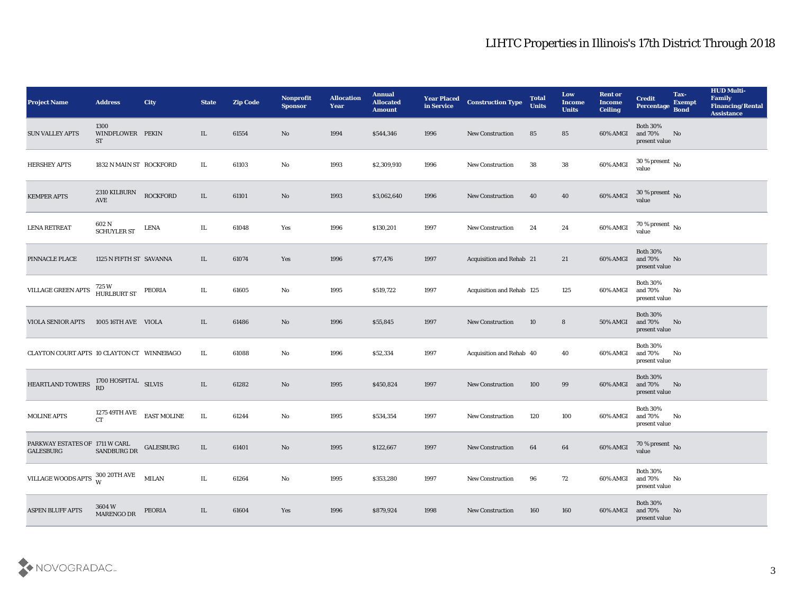| <b>Project Name</b>                                | <b>Address</b>                 | City               | <b>State</b> | <b>Zip Code</b> | Nonprofit<br><b>Sponsor</b> | <b>Allocation</b><br><b>Year</b> | <b>Annual</b><br><b>Allocated</b><br><b>Amount</b> | <b>Year Placed</b><br>in Service | <b>Construction Type</b>         | <b>Total</b><br><b>Units</b> | Low<br><b>Income</b><br><b>Units</b> | <b>Rent or</b><br><b>Income</b><br><b>Ceiling</b> | <b>Credit</b><br>Percentage                 | Tax-<br><b>Exempt</b><br><b>Bond</b> | <b>HUD Multi-</b><br>Family<br><b>Financing/Rental</b><br><b>Assistance</b> |
|----------------------------------------------------|--------------------------------|--------------------|--------------|-----------------|-----------------------------|----------------------------------|----------------------------------------------------|----------------------------------|----------------------------------|------------------------------|--------------------------------------|---------------------------------------------------|---------------------------------------------|--------------------------------------|-----------------------------------------------------------------------------|
| <b>SUN VALLEY APTS</b>                             | 1300<br>WINDFLOWER PEKIN<br>ST |                    | IL           | 61554           | No                          | 1994                             | \$544,346                                          | 1996                             | <b>New Construction</b>          | 85                           | 85                                   | 60% AMGI                                          | <b>Both 30%</b><br>and 70%<br>present value | No                                   |                                                                             |
| <b>HERSHEY APTS</b>                                | 1832 N MAIN ST ROCKFORD        |                    | IL.          | 61103           | No                          | 1993                             | \$2,309,910                                        | 1996                             | <b>New Construction</b>          | 38                           | 38                                   | 60% AMGI                                          | $30\,\%$ present $\,$ No value              |                                      |                                                                             |
| <b>KEMPER APTS</b>                                 | 2310 KILBURN<br>AVE            | <b>ROCKFORD</b>    | IL           | 61101           | No                          | 1993                             | \$3,062,640                                        | 1996                             | <b>New Construction</b>          | 40                           | 40                                   | 60% AMGI                                          | $30\,\%$ present $\,$ No value              |                                      |                                                                             |
| <b>LENA RETREAT</b>                                | $602$ N SCHUYLER ST            | LENA               | IL           | 61048           | Yes                         | 1996                             | \$130,201                                          | 1997                             | <b>New Construction</b>          | 24                           | 24                                   | 60% AMGI                                          | $70\,\% \,present \over value$              |                                      |                                                                             |
| PINNACLE PLACE                                     | 1125 N FIFTH ST SAVANNA        |                    | IL           | 61074           | Yes                         | 1996                             | \$77,476                                           | 1997                             | Acquisition and Rehab 21         |                              | 21                                   | 60% AMGI                                          | <b>Both 30%</b><br>and 70%<br>present value | No                                   |                                                                             |
| VILLAGE GREEN APTS                                 | 725 W<br>HURLBURT ST PEORIA    |                    | IL           | 61605           | No                          | 1995                             | \$519,722                                          | 1997                             | <b>Acquisition and Rehab 125</b> |                              | 125                                  | 60% AMGI                                          | <b>Both 30%</b><br>and 70%<br>present value | No                                   |                                                                             |
| <b>VIOLA SENIOR APTS</b>                           | 1005 16TH AVE VIOLA            |                    | IL           | 61486           | No                          | 1996                             | \$55,845                                           | 1997                             | <b>New Construction</b>          | 10                           | $8\phantom{1}$                       | <b>50% AMGI</b>                                   | <b>Both 30%</b><br>and 70%<br>present value | No                                   |                                                                             |
| CLAYTON COURT APTS 10 CLAYTON CT WINNEBAGO         |                                |                    | IL.          | 61088           | No                          | 1996                             | \$52,334                                           | 1997                             | Acquisition and Rehab 40         |                              | 40                                   | 60% AMGI                                          | <b>Both 30%</b><br>and 70%<br>present value | No                                   |                                                                             |
| HEARTLAND TOWERS                                   | 1700 HOSPITAL SILVIS<br>RD     |                    | IL           | 61282           | No                          | 1995                             | \$450,824                                          | 1997                             | <b>New Construction</b>          | 100                          | 99                                   | 60% AMGI                                          | <b>Both 30%</b><br>and 70%<br>present value | No                                   |                                                                             |
| <b>MOLINE APTS</b>                                 | 1275 49TH AVE<br>CT.           | <b>EAST MOLINE</b> | IL           | 61244           | No                          | 1995                             | \$534,354                                          | 1997                             | <b>New Construction</b>          | 120                          | 100                                  | 60% AMGI                                          | <b>Both 30%</b><br>and 70%<br>present value | No                                   |                                                                             |
| PARKWAY ESTATES OF 1711 W CARL<br><b>GALESBURG</b> | SANDBURG DR                    | GALESBURG          | IL           | 61401           | No                          | 1995                             | \$122,667                                          | 1997                             | <b>New Construction</b>          | 64                           | 64                                   | 60% AMGI                                          | 70 % present No<br>value                    |                                      |                                                                             |
| VILLAGE WOODS APTS                                 | <b>300 20TH AVE</b>            | <b>MILAN</b>       | $\rm IL$     | 61264           | $\rm\, No$                  | 1995                             | \$353,280                                          | 1997                             | <b>New Construction</b>          | 96                           | 72                                   | 60% AMGI                                          | Both $30\%$<br>and $70\%$<br>present value  | No                                   |                                                                             |
| <b>ASPEN BLUFF APTS</b>                            | 3604W<br>MARENGO DR            | PEORIA             | IL           | 61604           | Yes                         | 1996                             | \$879,924                                          | 1998                             | <b>New Construction</b>          | 160                          | 160                                  | 60% AMGI                                          | <b>Both 30%</b><br>and 70%<br>present value | No                                   |                                                                             |

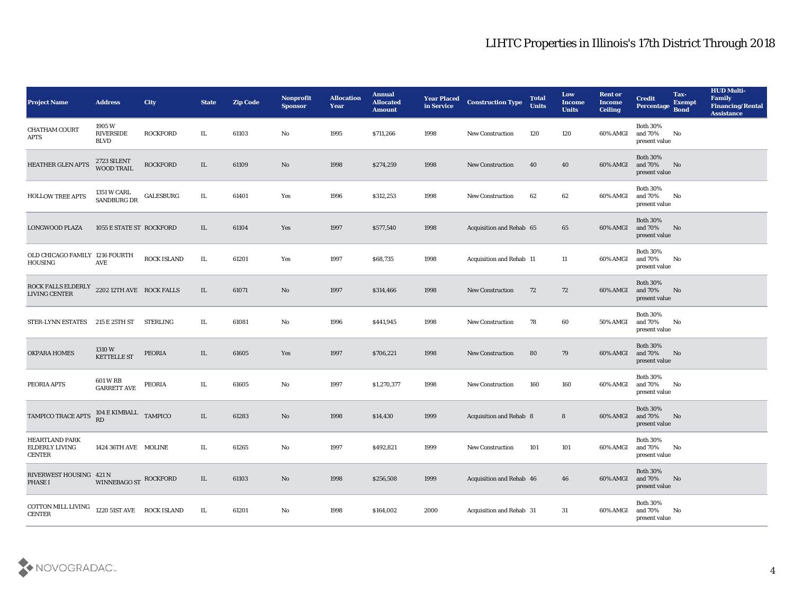| <b>Project Name</b>                                             | <b>Address</b>                            | <b>City</b>        | <b>State</b> | <b>Zip Code</b> | Nonprofit<br><b>Sponsor</b> | <b>Allocation</b><br><b>Year</b> | <b>Annual</b><br><b>Allocated</b><br><b>Amount</b> | <b>Year Placed</b><br>in Service | <b>Construction Type</b>       | <b>Total</b><br><b>Units</b> | Low<br><b>Income</b><br><b>Units</b> | <b>Rent or</b><br>Income<br><b>Ceiling</b> | <b>Credit</b><br>Percentage                   | Tax-<br><b>Exempt</b><br><b>Bond</b> | <b>HUD Multi-</b><br>Family<br><b>Financing/Rental</b><br><b>Assistance</b> |
|-----------------------------------------------------------------|-------------------------------------------|--------------------|--------------|-----------------|-----------------------------|----------------------------------|----------------------------------------------------|----------------------------------|--------------------------------|------------------------------|--------------------------------------|--------------------------------------------|-----------------------------------------------|--------------------------------------|-----------------------------------------------------------------------------|
| <b>CHATHAM COURT</b><br><b>APTS</b>                             | 1905 W<br><b>RIVERSIDE</b><br><b>BLVD</b> | <b>ROCKFORD</b>    | IL           | 61103           | No                          | 1995                             | \$711,266                                          | 1998                             | <b>New Construction</b>        | 120                          | 120                                  | 60% AMGI                                   | <b>Both 30%</b><br>and 70%<br>present value   | No                                   |                                                                             |
| HEATHER GLEN APTS                                               | 2723 SILENT<br>WOOD TRAIL                 | <b>ROCKFORD</b>    | IL           | 61109           | No                          | 1998                             | \$274,259                                          | 1998                             | <b>New Construction</b>        | 40                           | 40                                   | 60% AMGI                                   | <b>Both 30%</b><br>and 70%<br>present value   | No                                   |                                                                             |
| <b>HOLLOW TREE APTS</b>                                         | 1351 W CARL<br>SANDBURG DR                | <b>GALESBURG</b>   | IL           | 61401           | Yes                         | 1996                             | \$312,253                                          | 1998                             | <b>New Construction</b>        | 62                           | 62                                   | 60% AMGI                                   | <b>Both 30%</b><br>and 70%<br>present value   | No                                   |                                                                             |
| <b>LONGWOOD PLAZA</b>                                           | 1055 E STATE ST ROCKFORD                  |                    | IL           | 61104           | Yes                         | 1997                             | \$577,540                                          | 1998                             | Acquisition and Rehab 65       |                              | 65                                   | 60% AMGI                                   | <b>Both 30%</b><br>and 70%<br>present value   | No                                   |                                                                             |
| OLD CHICAGO FAMILY 1216 FOURTH<br><b>HOUSING</b>                | AVE                                       | <b>ROCK ISLAND</b> | IL           | 61201           | Yes                         | 1997                             | \$68,735                                           | 1998                             | Acquisition and Rehab 11       |                              | 11                                   | 60% AMGI                                   | <b>Both 30%</b><br>and 70%<br>present value   | No                                   |                                                                             |
| ROCK FALLS ELDERLY<br><b>LIVING CENTER</b>                      | 2202 12TH AVE ROCK FALLS                  |                    | IL           | 61071           | No                          | 1997                             | \$314,466                                          | 1998                             | <b>New Construction</b>        | 72                           | 72                                   | 60% AMGI                                   | <b>Both 30%</b><br>and 70%<br>present value   | No                                   |                                                                             |
| <b>STER-LYNN ESTATES</b>                                        | 215 E 25TH ST                             | STERLING           | IL           | 61081           | No                          | 1996                             | \$441,945                                          | 1998                             | <b>New Construction</b>        | 78                           | 60                                   | 50% AMGI                                   | <b>Both 30%</b><br>and 70%<br>present value   | No                                   |                                                                             |
| <b>OKPARA HOMES</b>                                             | 1310 W<br><b>KETTELLE ST</b>              | <b>PEORIA</b>      | IL           | 61605           | Yes                         | 1997                             | \$706,221                                          | 1998                             | <b>New Construction</b>        | 80                           | 79                                   | 60% AMGI                                   | <b>Both 30%</b><br>and 70%<br>present value   | No                                   |                                                                             |
| PEORIA APTS                                                     | 601 W RB<br><b>GARRETT AVE</b>            | <b>PEORIA</b>      | IL           | 61605           | No                          | 1997                             | \$1,270,377                                        | 1998                             | <b>New Construction</b>        | 160                          | 160                                  | 60% AMGI                                   | <b>Both 30%</b><br>and 70%<br>present value   | No                                   |                                                                             |
| TAMPICO TRACE APTS                                              | 104 E KIMBALL TAMPICO                     |                    | IL           | 61283           | No                          | 1998                             | \$14,430                                           | 1999                             | <b>Acquisition and Rehab 8</b> |                              | $8\phantom{1}$                       | 60% AMGI                                   | <b>Both 30%</b><br>and 70%<br>present value   | No                                   |                                                                             |
| <b>HEARTLAND PARK</b><br><b>ELDERLY LIVING</b><br><b>CENTER</b> | 1424 36TH AVE MOLINE                      |                    | IL           | 61265           | No                          | 1997                             | \$492,821                                          | 1999                             | <b>New Construction</b>        | 101                          | 101                                  | 60% AMGI                                   | <b>Both 30%</b><br>and 70%<br>present value   | No                                   |                                                                             |
| RIVERWEST HOUSING 421 N<br>PHASE I                              | WINNEBAGO ST ROCKFORD                     |                    | $\;$ IL      | 61103           | $\rm\, No$                  | 1998                             | \$256,508                                          | 1999                             | Acquisition and Rehab 46       |                              | 46                                   | 60% AMGI                                   | Both $30\%$<br>and $70\%$ No<br>present value |                                      |                                                                             |
| COTTON MILL LIVING<br><b>CENTER</b>                             | 1220 51ST AVE ROCK ISLAND                 |                    | $\;$ IL      | 61201           | $\rm\thinspace No$          | 1998                             | \$164,002                                          | 2000                             | Acquisition and Rehab 31       |                              | $31\,$                               | 60% AMGI                                   | Both $30\%$<br>and 70%<br>present value       | $\mathbf{N}\mathbf{o}$               |                                                                             |

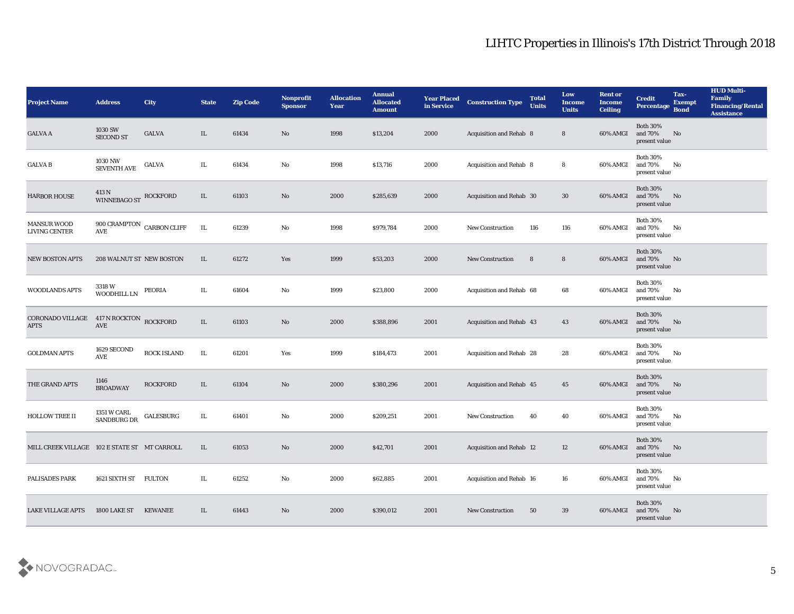| <b>Project Name</b>                                    | <b>Address</b>                 | City                      | <b>State</b> | <b>Zip Code</b> | Nonprofit<br><b>Sponsor</b> | <b>Allocation</b><br><b>Year</b> | <b>Annual</b><br><b>Allocated</b><br><b>Amount</b> | <b>Year Placed</b><br>in Service | <b>Construction Type</b>        | <b>Total</b><br><b>Units</b> | Low<br><b>Income</b><br><b>Units</b> | <b>Rent or</b><br><b>Income</b><br><b>Ceiling</b> | <b>Credit</b><br>Percentage                 | Tax-<br><b>Exempt</b><br><b>Bond</b> | <b>HUD Multi-</b><br>Family<br><b>Financing/Rental</b><br><b>Assistance</b> |
|--------------------------------------------------------|--------------------------------|---------------------------|--------------|-----------------|-----------------------------|----------------------------------|----------------------------------------------------|----------------------------------|---------------------------------|------------------------------|--------------------------------------|---------------------------------------------------|---------------------------------------------|--------------------------------------|-----------------------------------------------------------------------------|
| <b>GALVA A</b>                                         | 1030 SW<br><b>SECOND ST</b>    | <b>GALVA</b>              | IL           | 61434           | No                          | 1998                             | \$13,204                                           | 2000                             | Acquisition and Rehab 8         |                              | 8                                    | 60% AMGI                                          | <b>Both 30%</b><br>and 70%<br>present value | No                                   |                                                                             |
| <b>GALVA B</b>                                         | 1030 NW<br><b>SEVENTH AVE</b>  | <b>GALVA</b>              | IL           | 61434           | No                          | 1998                             | \$13,716                                           | 2000                             | Acquisition and Rehab 8         |                              | 8                                    | 60% AMGI                                          | <b>Both 30%</b><br>and 70%<br>present value | No                                   |                                                                             |
| <b>HARBOR HOUSE</b>                                    | 413 N<br>WINNEBAGO ST ROCKFORD |                           | IL           | 61103           | No                          | 2000                             | \$285,639                                          | 2000                             | Acquisition and Rehab 30        |                              | 30                                   | 60% AMGI                                          | <b>Both 30%</b><br>and 70%<br>present value | No                                   |                                                                             |
| <b>MANSUR WOOD</b><br>LIVING CENTER                    | $\operatorname{\mathbf{AVE}}$  | 900 CRAMPTON CARBON CLIFF | IL           | 61239           | No                          | 1998                             | \$979,784                                          | 2000                             | <b>New Construction</b>         | 116                          | 116                                  | 60% AMGI                                          | <b>Both 30%</b><br>and 70%<br>present value | No                                   |                                                                             |
| <b>NEW BOSTON APTS</b>                                 | 208 WALNUT ST NEW BOSTON       |                           | IL           | 61272           | Yes                         | 1999                             | \$53,203                                           | 2000                             | <b>New Construction</b>         | 8                            | 8                                    | 60% AMGI                                          | <b>Both 30%</b><br>and 70%<br>present value | No                                   |                                                                             |
| <b>WOODLANDS APTS</b>                                  | 3318 W<br>WOODHILL LN PEORIA   |                           | IL           | 61604           | No                          | 1999                             | \$23,800                                           | 2000                             | Acquisition and Rehab 68        |                              | 68                                   | 60% AMGI                                          | <b>Both 30%</b><br>and 70%<br>present value | No                                   |                                                                             |
| CORONADO VILLAGE 417 N ROCKTON ROCKFORD<br><b>APTS</b> | <b>AVE</b>                     |                           | IL           | 61103           | No                          | 2000                             | \$388,896                                          | 2001                             | Acquisition and Rehab 43        |                              | 43                                   | 60% AMGI                                          | <b>Both 30%</b><br>and 70%<br>present value | No                                   |                                                                             |
| <b>GOLDMAN APTS</b>                                    | 1629 SECOND<br>AVE             | ROCK ISLAND               | IL           | 61201           | Yes                         | 1999                             | \$184,473                                          | 2001                             | <b>Acquisition and Rehab 28</b> |                              | 28                                   | 60% AMGI                                          | <b>Both 30%</b><br>and 70%<br>present value | No                                   |                                                                             |
| THE GRAND APTS                                         | 1146<br><b>BROADWAY</b>        | <b>ROCKFORD</b>           | IL           | 61104           | No                          | 2000                             | \$380,296                                          | 2001                             | Acquisition and Rehab 45        |                              | 45                                   | 60% AMGI                                          | <b>Both 30%</b><br>and 70%<br>present value | No                                   |                                                                             |
| <b>HOLLOW TREE II</b>                                  | 1351 W CARL<br>SANDBURG DR     | <b>GALESBURG</b>          | IL           | 61401           | No                          | 2000                             | \$209,251                                          | 2001                             | <b>New Construction</b>         | 40                           | 40                                   | 60% AMGI                                          | <b>Both 30%</b><br>and 70%<br>present value | No                                   |                                                                             |
| MILL CREEK VILLAGE 102 E STATE ST MT CARROLL           |                                |                           | IL           | 61053           | No                          | 2000                             | \$42,701                                           | 2001                             | <b>Acquisition and Rehab 12</b> |                              | 12                                   | 60% AMGI                                          | <b>Both 30%</b><br>and 70%<br>present value | No                                   |                                                                             |
| PALISADES PARK                                         | 1621 SIXTH ST FULTON           |                           | $\rm IL$     | 61252           | $\mathbf{No}$               | 2000                             | \$62,885                                           | 2001                             | Acquisition and Rehab 16        |                              | 16                                   | 60% AMGI                                          | <b>Both 30%</b><br>and 70%<br>present value | No                                   |                                                                             |
| <b>LAKE VILLAGE APTS</b>                               | 1800 LAKE ST                   | <b>KEWANEE</b>            | IL           | 61443           | $\rm\, No$                  | 2000                             | \$390,012                                          | 2001                             | <b>New Construction</b>         | 50                           | 39                                   | 60% AMGI                                          | Both $30\%$<br>and 70%<br>present value     | N <sub>o</sub>                       |                                                                             |

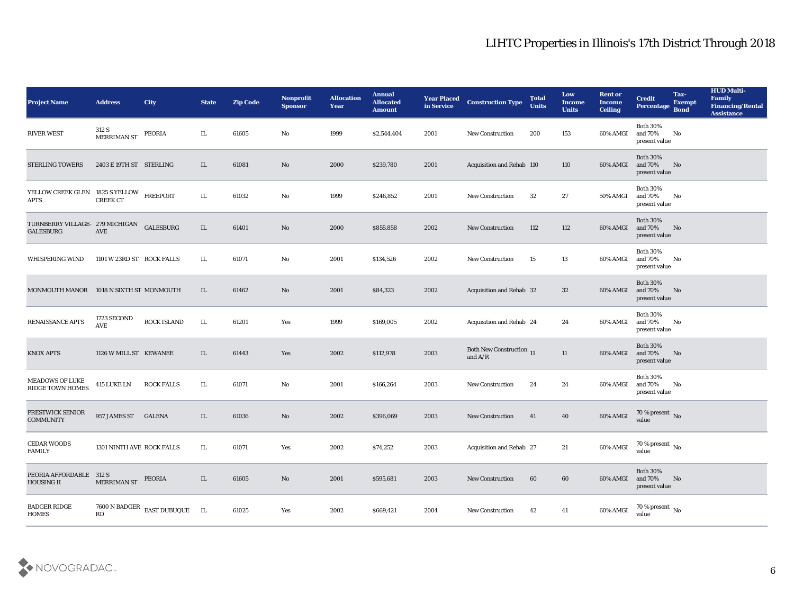| <b>Project Name</b>                                 | <b>Address</b>            | City                                           | <b>State</b> | <b>Zip Code</b> | Nonprofit<br><b>Sponsor</b> | <b>Allocation</b><br>Year | <b>Annual</b><br><b>Allocated</b><br><b>Amount</b> | <b>Year Placed</b><br>in Service | <b>Construction Type</b>              | <b>Total</b><br><b>Units</b> | Low<br><b>Income</b><br><b>Units</b> | <b>Rent or</b><br><b>Income</b><br><b>Ceiling</b> | <b>Credit</b><br>Percentage                 | Tax-<br><b>Exempt</b><br><b>Bond</b> | <b>HUD Multi-</b><br>Family<br><b>Financing/Rental</b><br><b>Assistance</b> |
|-----------------------------------------------------|---------------------------|------------------------------------------------|--------------|-----------------|-----------------------------|---------------------------|----------------------------------------------------|----------------------------------|---------------------------------------|------------------------------|--------------------------------------|---------------------------------------------------|---------------------------------------------|--------------------------------------|-----------------------------------------------------------------------------|
| <b>RIVER WEST</b>                                   | 312 S<br>MERRIMAN ST      | PEORIA                                         | IL           | 61605           | No                          | 1999                      | \$2,544,404                                        | 2001                             | <b>New Construction</b>               | 200                          | 153                                  | 60% AMGI                                          | <b>Both 30%</b><br>and 70%<br>present value | No                                   |                                                                             |
| <b>STERLING TOWERS</b>                              | 2403 E 19TH ST STERLING   |                                                | IL           | 61081           | No                          | 2000                      | \$239,780                                          | 2001                             | Acquisition and Rehab 110             |                              | 110                                  | 60% AMGI                                          | <b>Both 30%</b><br>and 70%<br>present value | No                                   |                                                                             |
| YELLOW CREEK GLEN 1825 S YELLOW<br><b>APTS</b>      | <b>CREEK CT</b>           | <b>FREEPORT</b>                                | IL           | 61032           | No                          | 1999                      | \$246,852                                          | 2001                             | <b>New Construction</b>               | 32                           | 27                                   | 50% AMGI                                          | <b>Both 30%</b><br>and 70%<br>present value | No                                   |                                                                             |
| TURNBERRY VILLAGE- 279 MICHIGAN<br><b>GALESBURG</b> | AVE                       | GALESBURG                                      | IL           | 61401           | No                          | 2000                      | \$855,858                                          | 2002                             | <b>New Construction</b>               | 112                          | 112                                  | 60% AMGI                                          | <b>Both 30%</b><br>and 70%<br>present value | No                                   |                                                                             |
| WHISPERING WIND                                     | 1101 W 23RD ST ROCK FALLS |                                                | IL           | 61071           | No                          | 2001                      | \$134,526                                          | 2002                             | <b>New Construction</b>               | 15                           | 13                                   | 60% AMGI                                          | <b>Both 30%</b><br>and 70%<br>present value | No                                   |                                                                             |
| MONMOUTH MANOR 1018 N SIXTH ST MONMOUTH             |                           |                                                | IL           | 61462           | No                          | 2001                      | \$84,323                                           | 2002                             | Acquisition and Rehab 32              |                              | 32                                   | 60% AMGI                                          | <b>Both 30%</b><br>and 70%<br>present value | No                                   |                                                                             |
| <b>RENAISSANCE APTS</b>                             | 1723 SECOND<br>AVE        | ROCK ISLAND                                    | IL           | 61201           | Yes                         | 1999                      | \$169,005                                          | 2002                             | Acquisition and Rehab 24              |                              | 24                                   | 60% AMGI                                          | <b>Both 30%</b><br>and 70%<br>present value | No                                   |                                                                             |
| <b>KNOX APTS</b>                                    | 1126 W MILL ST KEWANEE    |                                                | IL.          | 61443           | Yes                         | 2002                      | \$112,978                                          | 2003                             | Both New Construction 11<br>and $A/R$ |                              | 11                                   | 60% AMGI                                          | <b>Both 30%</b><br>and 70%<br>present value | No                                   |                                                                             |
| <b>MEADOWS OF LUKE</b><br><b>RIDGE TOWN HOMES</b>   | 415 LUKE LN               | <b>ROCK FALLS</b>                              | IL           | 61071           | No                          | 2001                      | \$166,264                                          | 2003                             | <b>New Construction</b>               | 24                           | 24                                   | 60% AMGI                                          | <b>Both 30%</b><br>and 70%<br>present value | No                                   |                                                                             |
| PRESTWICK SENIOR<br><b>COMMUNITY</b>                | 957 JAMES ST              | <b>GALENA</b>                                  | IL           | 61036           | No                          | 2002                      | \$396,069                                          | 2003                             | <b>New Construction</b>               | 41                           | 40                                   | 60% AMGI                                          | $70\,\%$ present $\,$ No value              |                                      |                                                                             |
| <b>CEDAR WOODS</b><br><b>FAMILY</b>                 | 1301 NINTH AVE ROCK FALLS |                                                | IL.          | 61071           | Yes                         | 2002                      | \$74,252                                           | 2003                             | <b>Acquisition and Rehab 27</b>       |                              | 21                                   | 60% AMGI                                          | 70 % present $\,$ No $\,$<br>value          |                                      |                                                                             |
| PEORIA AFFORDABLE 312 S<br><b>HOUSING II</b>        | MERRIMAN ST               | PEORIA                                         | IL           | 61605           | $\mathbf{N}\mathbf{o}$      | 2001                      | \$595,681                                          | 2003                             | <b>New Construction</b>               | 60                           | 60                                   | 60% AMGI                                          | <b>Both 30%</b><br>and 70%<br>present value | No                                   |                                                                             |
| <b>BADGER RIDGE</b><br><b>HOMES</b>                 | RD                        | $7600$ N BADGER $$\sf EAST\,DUBUQUE$$ $\sf IL$ |              | 61025           | Yes                         | 2002                      | \$669,421                                          | 2004                             | <b>New Construction</b>               | 42                           | 41                                   | 60% AMGI                                          | $70\,\%$ present $\,$ No value              |                                      |                                                                             |

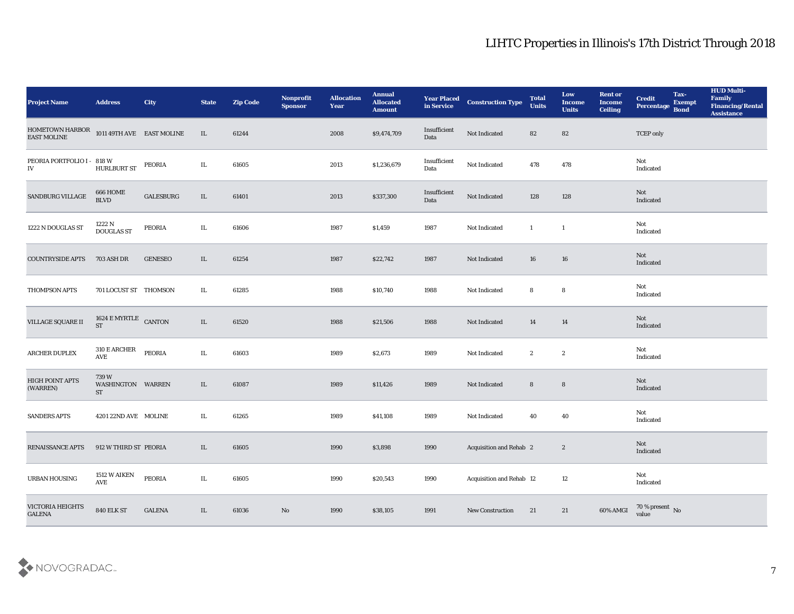| <b>Project Name</b>                                                               | <b>Address</b>                                                                        | <b>City</b>      | <b>State</b> | <b>Zip Code</b> | Nonprofit<br><b>Sponsor</b> | <b>Allocation</b><br>Year | <b>Annual</b><br>Allocated<br><b>Amount</b> | <b>Year Placed</b><br>in Service | <b>Construction Type</b>       | <b>Total</b><br><b>Units</b> | Low<br><b>Income</b><br><b>Units</b> | <b>Rent or</b><br><b>Income</b><br><b>Ceiling</b> | <b>Credit</b><br>Percentage Bond  | Tax-<br><b>Exempt</b> | <b>HUD Multi-</b><br>Family<br><b>Financing/Rental</b><br><b>Assistance</b> |
|-----------------------------------------------------------------------------------|---------------------------------------------------------------------------------------|------------------|--------------|-----------------|-----------------------------|---------------------------|---------------------------------------------|----------------------------------|--------------------------------|------------------------------|--------------------------------------|---------------------------------------------------|-----------------------------------|-----------------------|-----------------------------------------------------------------------------|
| $\rm HOMETOWN$ $\rm HARBOR$ $\rm ~$ 1011 49TH AVE $\rm ~$ EAST MOLINE EAST MOLINE |                                                                                       |                  | IL           | 61244           |                             | 2008                      | \$9,474,709                                 | Insufficient<br>Data             | Not Indicated                  | 82                           | 82                                   |                                                   | <b>TCEP</b> only                  |                       |                                                                             |
| PEORIA PORTFOLIO I - 818 W<br>IV                                                  | <b>HURLBURT ST</b>                                                                    | PEORIA           | IL.          | 61605           |                             | 2013                      | \$1,236,679                                 | Insufficient<br>Data             | Not Indicated                  | 478                          | 478                                  |                                                   | Not<br>Indicated                  |                       |                                                                             |
| SANDBURG VILLAGE                                                                  | 666 HOME<br><b>BLVD</b>                                                               | <b>GALESBURG</b> | $\rm IL$     | 61401           |                             | 2013                      | \$337,300                                   | Insufficient<br>Data             | Not Indicated                  | 128                          | 128                                  |                                                   | Not<br>Indicated                  |                       |                                                                             |
| 1222 N DOUGLAS ST                                                                 | 1222 N<br><b>DOUGLAS ST</b>                                                           | <b>PEORIA</b>    | IL           | 61606           |                             | 1987                      | \$1,459                                     | 1987                             | Not Indicated                  | $\mathbf{1}$                 | <sup>1</sup>                         |                                                   | Not<br>Indicated                  |                       |                                                                             |
| <b>COUNTRYSIDE APTS</b>                                                           | 703 ASH DR                                                                            | <b>GENESEO</b>   | IL           | 61254           |                             | 1987                      | \$22,742                                    | 1987                             | Not Indicated                  | 16                           | 16                                   |                                                   | Not<br>Indicated                  |                       |                                                                             |
| <b>THOMPSON APTS</b>                                                              | 701 LOCUST ST THOMSON                                                                 |                  | IL           | 61285           |                             | 1988                      | \$10,740                                    | 1988                             | Not Indicated                  | 8                            | 8                                    |                                                   | Not<br>Indicated                  |                       |                                                                             |
| VILLAGE SQUARE II                                                                 | $\begin{array}{cc}\n1624 \; \text{EMYRTLE} & \text{CANTON} \\ \text{ST}\n\end{array}$ |                  | IL           | 61520           |                             | 1988                      | \$21,506                                    | 1988                             | Not Indicated                  | 14                           | 14                                   |                                                   | Not<br>Indicated                  |                       |                                                                             |
| <b>ARCHER DUPLEX</b>                                                              | 310 E ARCHER<br>AVE                                                                   | <b>PEORIA</b>    | IL           | 61603           |                             | 1989                      | \$2,673                                     | 1989                             | Not Indicated                  | $\mathbf{2}$                 | $\mathbf{2}$                         |                                                   | Not<br>Indicated                  |                       |                                                                             |
| HIGH POINT APTS<br>(WARREN)                                                       | 739 W<br>WASHINGTON WARREN<br>ST                                                      |                  | IL           | 61087           |                             | 1989                      | \$11,426                                    | 1989                             | Not Indicated                  | 8                            | $\bf 8$                              |                                                   | Not<br>Indicated                  |                       |                                                                             |
| <b>SANDERS APTS</b>                                                               | 4201 22ND AVE MOLINE                                                                  |                  | IL.          | 61265           |                             | 1989                      | \$41,108                                    | 1989                             | Not Indicated                  | 40                           | 40                                   |                                                   | Not<br>Indicated                  |                       |                                                                             |
| <b>RENAISSANCE APTS</b>                                                           | 912 W THIRD ST PEORIA                                                                 |                  | IL           | 61605           |                             | 1990                      | \$3,898                                     | 1990                             | <b>Acquisition and Rehab 2</b> |                              | $\mathbf{2}$                         |                                                   | Not<br>Indicated                  |                       |                                                                             |
| URBAN HOUSING                                                                     | 1512 W AIKEN<br>AVE                                                                   | PEORIA           | $\;$ IL      | 61605           |                             | 1990                      | \$20,543                                    | 1990                             | Acquisition and Rehab 12       |                              | $12\,$                               |                                                   | Not<br>$\operatorname{Indicated}$ |                       |                                                                             |
| VICTORIA HEIGHTS<br><b>GALENA</b>                                                 | <b>840 ELK ST</b>                                                                     | <b>GALENA</b>    | $\rm IL$     | 61036           | $\mathbf{N}\mathbf{o}$      | 1990                      | \$38,105                                    | 1991                             | <b>New Construction</b>        | 21                           | 21                                   | 60% AMGI                                          | 70 % present No<br>value          |                       |                                                                             |

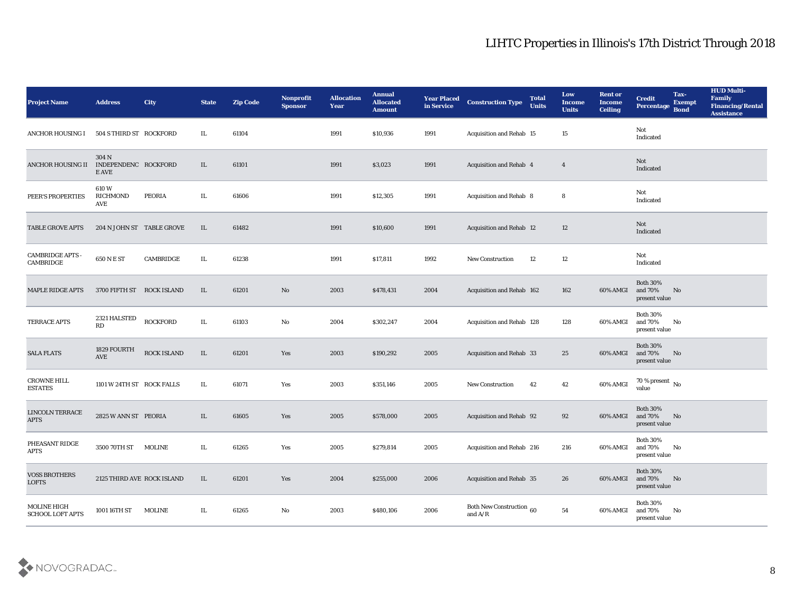| <b>Project Name</b>                                     | <b>Address</b>                         | City            | <b>State</b> | <b>Zip Code</b> | Nonprofit<br><b>Sponsor</b> | <b>Allocation</b><br><b>Year</b> | <b>Annual</b><br><b>Allocated</b><br><b>Amount</b> | <b>Year Placed</b><br>in Service | <b>Construction Type</b>                                                          | <b>Total</b><br><b>Units</b> | Low<br><b>Income</b><br><b>Units</b> | <b>Rent or</b><br>Income<br><b>Ceiling</b> | <b>Credit</b><br><b>Percentage</b>               | Tax-<br><b>Exempt</b><br><b>Bond</b> | <b>HUD Multi-</b><br>Family<br><b>Financing/Rental</b><br><b>Assistance</b> |
|---------------------------------------------------------|----------------------------------------|-----------------|--------------|-----------------|-----------------------------|----------------------------------|----------------------------------------------------|----------------------------------|-----------------------------------------------------------------------------------|------------------------------|--------------------------------------|--------------------------------------------|--------------------------------------------------|--------------------------------------|-----------------------------------------------------------------------------|
| <b>ANCHOR HOUSING I</b>                                 | 504 S THIRD ST ROCKFORD                |                 | IL           | 61104           |                             | 1991                             | \$10,936                                           | 1991                             | Acquisition and Rehab 15                                                          |                              | 15                                   |                                            | Not<br>Indicated                                 |                                      |                                                                             |
| <b>ANCHOR HOUSING II</b>                                | 304 N<br>INDEPENDENC ROCKFORD<br>E AVE |                 | IL           | 61101           |                             | 1991                             | \$3,023                                            | 1991                             | <b>Acquisition and Rehab 4</b>                                                    |                              | $\overline{\mathbf{4}}$              |                                            | Not<br>Indicated                                 |                                      |                                                                             |
| PEER'S PROPERTIES                                       | 610W<br><b>RICHMOND</b><br>AVE         | <b>PEORIA</b>   | IL           | 61606           |                             | 1991                             | \$12,305                                           | 1991                             | <b>Acquisition and Rehab 8</b>                                                    |                              | 8                                    |                                            | Not<br>Indicated                                 |                                      |                                                                             |
| <b>TABLE GROVE APTS</b>                                 | 204 N JOHN ST TABLE GROVE              |                 | IL           | 61482           |                             | 1991                             | \$10,600                                           | 1991                             | <b>Acquisition and Rehab 12</b>                                                   |                              | 12                                   |                                            | Not<br>Indicated                                 |                                      |                                                                             |
| <b>CAMBRIDGE APTS -</b><br>CAMBRIDGE                    | 650 N E ST                             | CAMBRIDGE       | IL           | 61238           |                             | 1991                             | \$17,811                                           | 1992                             | <b>New Construction</b>                                                           | 12                           | 12                                   |                                            | Not<br>Indicated                                 |                                      |                                                                             |
| <b>MAPLE RIDGE APTS</b>                                 | 3700 FIFTH ST ROCK ISLAND              |                 | IL           | 61201           | No                          | 2003                             | \$478,431                                          | 2004                             | Acquisition and Rehab 162                                                         |                              | 162                                  | 60% AMGI                                   | <b>Both 30%</b><br>and 70%<br>present value      | No                                   |                                                                             |
| <b>TERRACE APTS</b>                                     | 2321 HALSTED<br>RD                     | <b>ROCKFORD</b> | IL           | 61103           | No                          | 2004                             | \$302,247                                          | 2004                             | Acquisition and Rehab 128                                                         |                              | 128                                  | 60% AMGI                                   | <b>Both 30%</b><br>and 70%<br>present value      | No                                   |                                                                             |
| <b>SALA FLATS</b>                                       | 1829 FOURTH<br><b>AVE</b>              | ROCK ISLAND     | IL           | 61201           | Yes                         | 2003                             | \$190,292                                          | 2005                             | Acquisition and Rehab 33                                                          |                              | 25                                   | 60% AMGI                                   | <b>Both 30%</b><br>and 70%<br>present value      | No                                   |                                                                             |
| $\operatorname{CROWNE}\nolimits$ HILL<br><b>ESTATES</b> | 1101 W 24TH ST ROCK FALLS              |                 | IL           | 61071           | Yes                         | 2003                             | \$351,146                                          | 2005                             | <b>New Construction</b>                                                           | 42                           | 42                                   | 60% AMGI                                   | 70 % present $\,$ No $\,$<br>value               |                                      |                                                                             |
| <b>LINCOLN TERRACE</b><br>$\rm APTS$                    | 2825 W ANN ST PEORIA                   |                 | IL           | 61605           | Yes                         | 2005                             | \$578,000                                          | 2005                             | Acquisition and Rehab 92                                                          |                              | 92                                   | 60% AMGI                                   | <b>Both 30%</b><br>and 70%<br>present value      | No                                   |                                                                             |
| PHEASANT RIDGE<br><b>APTS</b>                           | 3500 70TH ST                           | MOLINE          | IL           | 61265           | Yes                         | 2005                             | \$279,814                                          | 2005                             | Acquisition and Rehab 216                                                         |                              | 216                                  | 60% AMGI                                   | <b>Both 30%</b><br>and 70%<br>$\,$ present value | No                                   |                                                                             |
| <b>VOSS BROTHERS</b><br><b>LOFTS</b>                    | 2125 THIRD AVE ROCK ISLAND             |                 | IL           | 61201           | Yes                         | 2004                             | \$255,000                                          | 2006                             | Acquisition and Rehab 35                                                          |                              | 26                                   | 60% AMGI                                   | <b>Both 30%</b><br>and 70%<br>present value      | N <sub>o</sub>                       |                                                                             |
| MOLINE HIGH<br>SCHOOL LOFT APTS                         | 1001 16TH ST                           | <b>MOLINE</b>   | IL           | 61265           | $\rm\thinspace No$          | 2003                             | \$480,106                                          | 2006                             | Both New Construction 60<br>and $\ensuremath{\mathrm{A}}/\ensuremath{\mathrm{R}}$ |                              | 54                                   | 60% AMGI                                   | <b>Both 30%</b><br>and $70\%$<br>present value   | $\mathbf{N}\mathbf{o}$               |                                                                             |

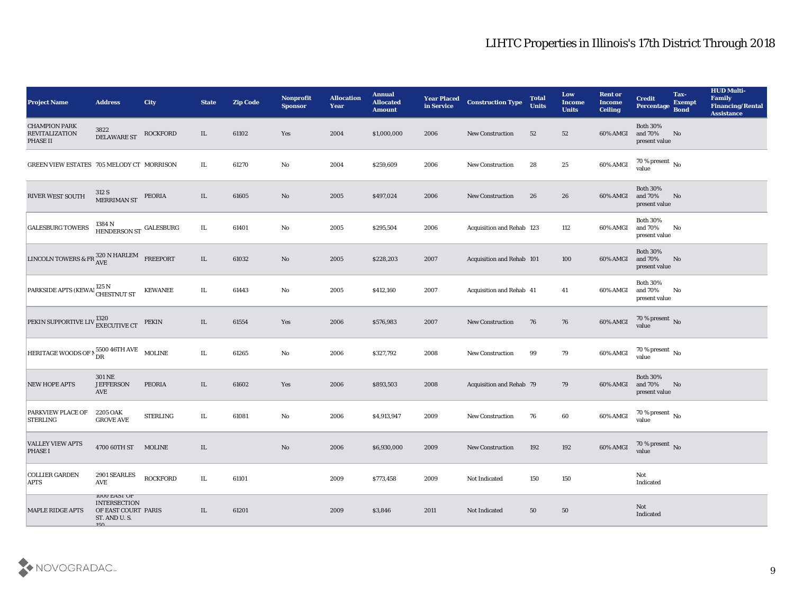| <b>Project Name</b>                                                 | <b>Address</b>                                                                           | City            | <b>State</b> | <b>Zip Code</b> | Nonprofit<br><b>Sponsor</b> | <b>Allocation</b><br><b>Year</b> | <b>Annual</b><br><b>Allocated</b><br><b>Amount</b> | <b>Year Placed</b><br>in Service | <b>Construction Type</b>  | <b>Total</b><br><b>Units</b> | Low<br><b>Income</b><br><b>Units</b> | <b>Rent or</b><br><b>Income</b><br><b>Ceiling</b> | <b>Credit</b><br>Percentage                 | Tax-<br><b>Exempt</b><br><b>Bond</b> | <b>HUD Multi-</b><br>Family<br><b>Financing/Rental</b><br><b>Assistance</b> |
|---------------------------------------------------------------------|------------------------------------------------------------------------------------------|-----------------|--------------|-----------------|-----------------------------|----------------------------------|----------------------------------------------------|----------------------------------|---------------------------|------------------------------|--------------------------------------|---------------------------------------------------|---------------------------------------------|--------------------------------------|-----------------------------------------------------------------------------|
| <b>CHAMPION PARK</b><br><b>REVITALIZATION</b><br><b>PHASE II</b>    | 3822<br><b>DELAWARE ST</b>                                                               | <b>ROCKFORD</b> | IL           | 61102           | Yes                         | 2004                             | \$1,000,000                                        | 2006                             | <b>New Construction</b>   | 52                           | 52                                   | 60% AMGI                                          | <b>Both 30%</b><br>and 70%<br>present value | No                                   |                                                                             |
| GREEN VIEW ESTATES 705 MELODY CT MORRISON                           |                                                                                          |                 | IL           | 61270           | No                          | 2004                             | \$259,609                                          | 2006                             | <b>New Construction</b>   | 28                           | 25                                   | 60% AMGI                                          | $70\,\%$ present $\,$ No value              |                                      |                                                                             |
| <b>RIVER WEST SOUTH</b>                                             | 312 S<br>MERRIMAN ST                                                                     | PEORIA          | IL           | 61605           | No                          | 2005                             | \$497,024                                          | 2006                             | <b>New Construction</b>   | 26                           | 26                                   | 60% AMGI                                          | <b>Both 30%</b><br>and 70%<br>present value | No                                   |                                                                             |
| <b>GALESBURG TOWERS</b>                                             | $1384$ N $$\rm{HENDERSON}\rm{ST}$ GALESBURG                                              |                 | IL           | 61401           | No                          | 2005                             | \$295,504                                          | 2006                             | Acquisition and Rehab 123 |                              | 112                                  | 60% AMGI                                          | <b>Both 30%</b><br>and 70%<br>present value | No                                   |                                                                             |
| LINCOLN TOWERS & FR $_{\text{AVE}}^{320 \text{ N HARLEM}}$ FREEPORT |                                                                                          |                 | IL           | 61032           | No                          | 2005                             | \$228,203                                          | 2007                             | Acquisition and Rehab 101 |                              | 100                                  | 60% AMGI                                          | <b>Both 30%</b><br>and 70%<br>present value | No                                   |                                                                             |
| PARKSIDE APTS (KEWAL <sup>125 N</sup> CHESTNUT ST                   |                                                                                          | <b>KEWANEE</b>  | IL           | 61443           | No                          | 2005                             | \$412,160                                          | 2007                             | Acquisition and Rehab 41  |                              | 41                                   | 60% AMGI                                          | <b>Both 30%</b><br>and 70%<br>present value | No                                   |                                                                             |
| PEKIN SUPPORTIVE LIV <sup>1320</sup> EXECUTIVE CT                   |                                                                                          | PEKIN           | IL           | 61554           | Yes                         | 2006                             | \$576,983                                          | 2007                             | <b>New Construction</b>   | 76                           | 76                                   | 60% AMGI                                          | $70\%$ present No<br>value                  |                                      |                                                                             |
| HERITAGE WOODS OF N DR                                              |                                                                                          | <b>MOLINE</b>   | IL           | 61265           | $\mathbf{No}$               | 2006                             | \$327,792                                          | 2008                             | <b>New Construction</b>   | 99                           | 79                                   | 60% AMGI                                          | 70 % present $\,$ No $\,$<br>value          |                                      |                                                                             |
| <b>NEW HOPE APTS</b>                                                | <b>301 NE</b><br><b>JEFFERSON</b><br>AVE                                                 | <b>PEORIA</b>   | IL           | 61602           | Yes                         | 2006                             | \$893,503                                          | 2008                             | Acquisition and Rehab 79  |                              | 79                                   | 60% AMGI                                          | <b>Both 30%</b><br>and 70%<br>present value | No                                   |                                                                             |
| PARKVIEW PLACE OF<br><b>STERLING</b>                                | 2205 OAK<br><b>GROVE AVE</b>                                                             | <b>STERLING</b> | IL           | 61081           | No                          | 2006                             | \$4,913,947                                        | 2009                             | <b>New Construction</b>   | 76                           | 60                                   | 60% AMGI                                          | $70\,\%$ present $\,$ No value              |                                      |                                                                             |
| <b>VALLEY VIEW APTS</b><br><b>PHASE I</b>                           | 4700 60TH ST                                                                             | <b>MOLINE</b>   | IL           |                 | No                          | 2006                             | \$6,930,000                                        | 2009                             | <b>New Construction</b>   | 192                          | 192                                  | 60% AMGI                                          | 70 % present No<br>value                    |                                      |                                                                             |
| <b>COLLIER GARDEN</b><br><b>APTS</b>                                | 2901 SEARLES<br>AVE                                                                      | <b>ROCKFORD</b> | IL           | 61101           |                             | 2009                             | \$773,458                                          | 2009                             | Not Indicated             | 150                          | 150                                  |                                                   | Not<br>Indicated                            |                                      |                                                                             |
| <b>MAPLE RIDGE APTS</b>                                             | <b>IUUU LASI UF</b><br><b>INTERSECTION</b><br>OF EAST COURT PARIS<br>ST. AND U.S.<br>150 |                 | IL           | 61201           |                             | 2009                             | \$3,846                                            | 2011                             | Not Indicated             | 50                           | 50                                   |                                                   | Not<br>Indicated                            |                                      |                                                                             |

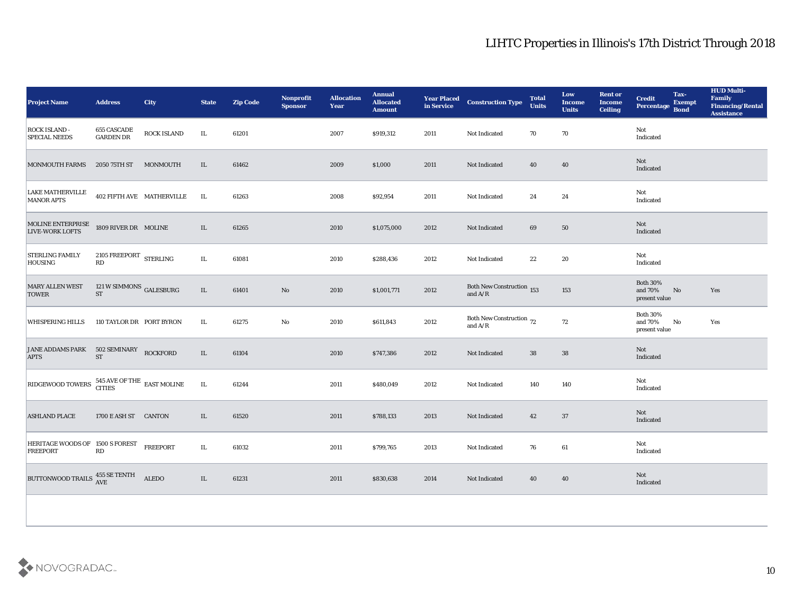| <b>Project Name</b>                                                                           | <b>Address</b>                          | <b>City</b>               | <b>State</b> | <b>Zip Code</b> | <b>Nonprofit</b><br><b>Sponsor</b> | <b>Allocation</b><br>Year | <b>Annual</b><br><b>Allocated</b><br><b>Amount</b> | <b>Year Placed<br/>in Service</b> | <b>Construction Type</b>               | <b>Total</b><br><b>Units</b> | Low<br><b>Income</b><br><b>Units</b> | <b>Rent or</b><br><b>Income</b><br><b>Ceiling</b> | <b>Credit</b><br>Percentage Bond            | Tax-<br><b>Exempt</b> | <b>HUD Multi-</b><br>Family<br>Financing/Rental<br><b>Assistance</b> |
|-----------------------------------------------------------------------------------------------|-----------------------------------------|---------------------------|--------------|-----------------|------------------------------------|---------------------------|----------------------------------------------------|-----------------------------------|----------------------------------------|------------------------------|--------------------------------------|---------------------------------------------------|---------------------------------------------|-----------------------|----------------------------------------------------------------------|
| ROCK ISLAND -<br><b>SPECIAL NEEDS</b>                                                         | 655 CASCADE<br><b>GARDEN DR</b>         | ROCK ISLAND               | $\rm IL$     | 61201           |                                    | 2007                      | \$919,312                                          | 2011                              | Not Indicated                          | 70                           | 70                                   |                                                   | Not<br>Indicated                            |                       |                                                                      |
| MONMOUTH FARMS 2050 75TH ST                                                                   |                                         | MONMOUTH                  | IL           | 61462           |                                    | 2009                      | \$1,000                                            | 2011                              | Not Indicated                          | 40                           | 40                                   |                                                   | <b>Not</b><br>Indicated                     |                       |                                                                      |
| <b>LAKE MATHERVILLE</b><br><b>MANOR APTS</b>                                                  |                                         | 402 FIFTH AVE MATHERVILLE | IL.          | 61263           |                                    | 2008                      | \$92,954                                           | 2011                              | Not Indicated                          | 24                           | 24                                   |                                                   | Not<br>Indicated                            |                       |                                                                      |
| $\frac{MOLINE ENTERPRISE}{LIVE-WORK LOFTS} \quad 1809 RIVER DR \quad MOLINE$                  |                                         |                           | IL           | 61265           |                                    | 2010                      | \$1,075,000                                        | 2012                              | Not Indicated                          | 69                           | 50                                   |                                                   | <b>Not</b><br>Indicated                     |                       |                                                                      |
| <b>STERLING FAMILY</b><br><b>HOUSING</b>                                                      | $2105 \mbox{\,FREEPORT}$ STERLING<br>RD |                           | $\rm IL$     | 61081           |                                    | 2010                      | \$288,436                                          | 2012                              | Not Indicated                          | 22                           | 20                                   |                                                   | Not<br>Indicated                            |                       |                                                                      |
| <b>MARY ALLEN WEST</b><br><b>TOWER</b>                                                        | 121 W SIMMONS GALESBURG<br><b>ST</b>    |                           | IL           | 61401           | $\mathbf{N}\mathbf{o}$             | 2010                      | \$1,001,771                                        | 2012                              | Both New Construction 153<br>and $A/R$ |                              | 153                                  |                                                   | <b>Both 30%</b><br>and 70%<br>present value | No                    | Yes                                                                  |
| <b>WHISPERING HILLS</b>                                                                       | 110 TAYLOR DR PORT BYRON                |                           | IL           | 61275           | No                                 | 2010                      | \$611,843                                          | 2012                              | Both New Construction 72<br>and $A/R$  |                              | 72                                   |                                                   | <b>Both 30%</b><br>and 70%<br>present value | No                    | Yes                                                                  |
| JANE ADDAMS PARK 502 SEMINARY ROCKFORD<br><b>APTS</b>                                         | <b>ST</b>                               |                           | $\rm IL$     | 61104           |                                    | 2010                      | \$747,386                                          | 2012                              | Not Indicated                          | 38                           | 38                                   |                                                   | Not<br>Indicated                            |                       |                                                                      |
| RIDGEWOOD TOWERS $^{545}_{\hbox{{\small CITIES}}}$ AVE OF THE $_{\small\textrm{EAST MOLINE}}$ |                                         |                           | $\rm IL$     | 61244           |                                    | 2011                      | \$480,049                                          | 2012                              | Not Indicated                          | 140                          | 140                                  |                                                   | Not<br>Indicated                            |                       |                                                                      |
| <b>ASHLAND PLACE</b>                                                                          | 1700 E ASH ST CANTON                    |                           | IL           | 61520           |                                    | 2011                      | \$788,133                                          | 2013                              | Not Indicated                          | 42                           | 37                                   |                                                   | <b>Not</b><br>Indicated                     |                       |                                                                      |
| HERITAGE WOODS OF 1500 S FOREST<br>FREEPORT                                                   | RD                                      | <b>FREEPORT</b>           | IL.          | 61032           |                                    | 2011                      | \$799,765                                          | 2013                              | Not Indicated                          | 76                           | 61                                   |                                                   | Not<br>Indicated                            |                       |                                                                      |
| BUTTONWOOD TRAILS $^{455}_{\hbox{AVE}}$ SE TENTH                                              |                                         | <b>ALEDO</b>              | IL           | 61231           |                                    | 2011                      | \$830,638                                          | 2014                              | Not Indicated                          | 40                           | 40                                   |                                                   | Not<br>Indicated                            |                       |                                                                      |
|                                                                                               |                                         |                           |              |                 |                                    |                           |                                                    |                                   |                                        |                              |                                      |                                                   |                                             |                       |                                                                      |